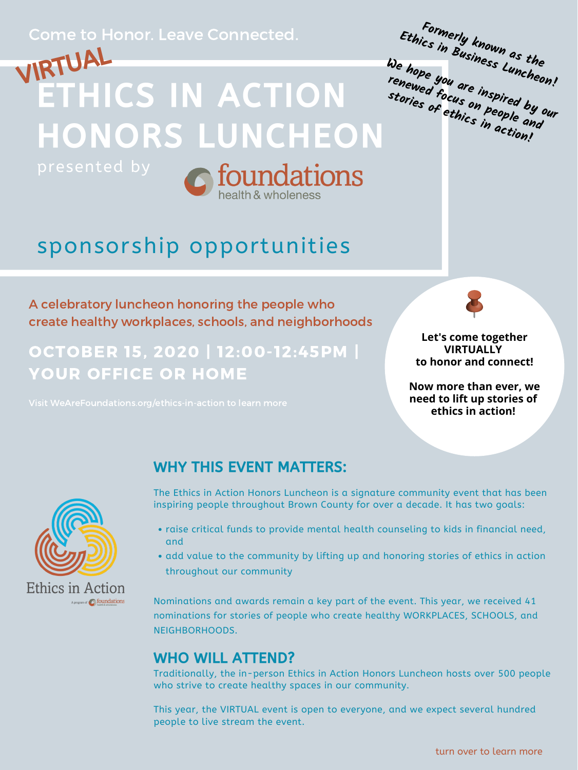presented by



# sponsorship opportunities

### Come to Honor. Leave Connected.

## OCTOBER 15, 2020 | 12:00-12:45PM | YOUR OFFICE OR HOME



A celebratory luncheon honoring the people who create healthy workplaces, schools, and neighborhoods

- raise critical funds to provide mental health counseling to kids in financial need, and
- add value to the community by lifting up and honoring stories of ethics in action throughout our community

#### WHY THIS EVENT MATTERS:

The Ethics in Action Honors Luncheon is a signature community event that has been inspiring people throughout Brown County for over a decade. It has two goals:



Nominations and awards remain a key part of the event. This year, we received 41 nominations for stories of people who create healthy WORKPLACES, SCHOOLS, and NEIGHBORHOODS.

#### WHO WILL ATTEND?

Traditionally, the in-person Ethics in Action Honors Luncheon hosts over 500 people who strive to create healthy spaces in our community.

This year, the VIRTUAL event is open to everyone, and we expect several hundred people to live stream the event.



**Let's come together VIRTUALLY to honor and connect!**

**Now more than ever, we need to lift up stories of**



A program of **C** foundations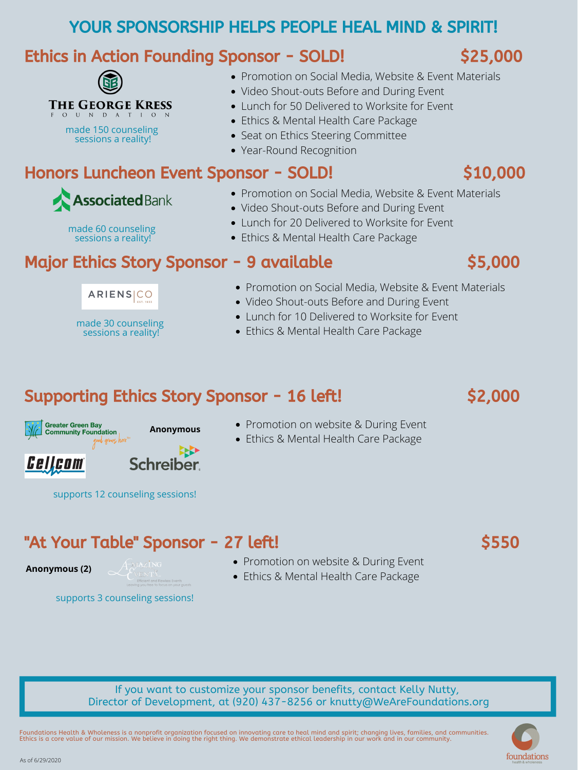## YOUR SPONSORSHIP HELPS PEOPLE HEAL MIND & SPIRIT!

## Ethics in Action Founding Sponsor - SOLD! \$25,000



#### "At Your Table" Sponsor - 27 left! \$550

Foundations Health & Wholeness is a nonprofit organization focused on innovating care to heal mind and spirit; changing lives, families, and communities. Ethics is a core value of our mission. We believe in doing the right thing. We demonstrate ethical leadership in our work and in our community.



If you want to customize your sponsor benefits, contact Kelly Nutty, Director of Development, at (920) 437-8256 or knutty@WeAreFoundations.org

As of 6/29/2020

made 150 counseling sessions a reality!

- Promotion on Social Media, Website & Event Materials
- Video Shout-outs Before and During Event
- Lunch for 50 Delivered to Worksite for Event
- Ethics & Mental Health Care Package
- Seat on Ethics Steering Committee
- Year-Round Recognition

## Honors Luncheon Event Sponsor - SOLD! \$10,000



made 60 counseling

sessions a reality!

made 30 counseling

 $ARIENS|CO$ 

sessions a reality!

- Promotion on Social Media, Website & Event Materials
- Video Shout-outs Before and During Event
- Lunch for 20 Delivered to Worksite for Event
	- Ethics & Mental Health Care Package

## Major Ethics Story Sponsor - 9 available \$5,000



- Promotion on Social Media, Website & Event Materials
- Video Shout-outs Before and During Event
- Lunch for 10 Delivered to Worksite for Event
- Ethics & Mental Health Care Package

### Supporting Ethics Story Sponsor - 16 left! \$2,000



**Anonymous (2)**





- Promotion on website & During Event
- Ethics & Mental Health Care Package

supports 12 counseling sessions!

supports 3 counseling sessions!



- Promotion on website & During Event
- Ethics & Mental Health Care Package